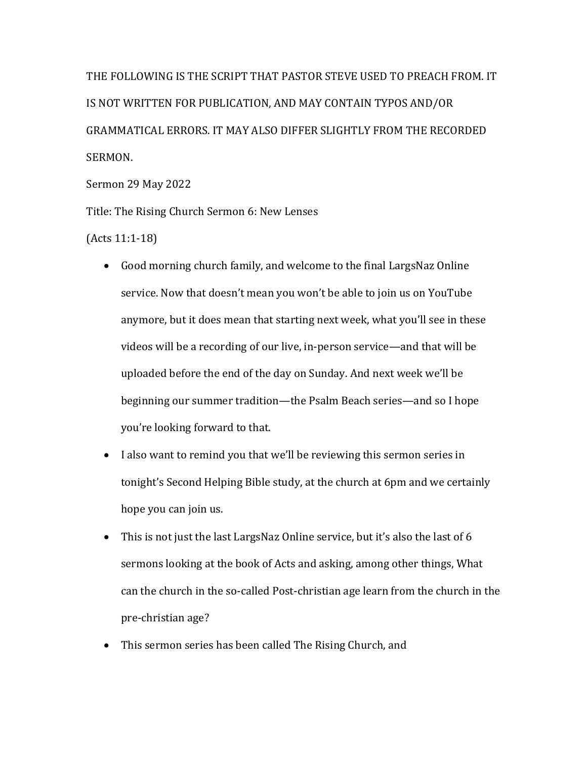THE FOLLOWING IS THE SCRIPT THAT PASTOR STEVE USED TO PREACH FROM. IT IS NOT WRITTEN FOR PUBLICATION, AND MAY CONTAIN TYPOS AND/OR GRAMMATICAL ERRORS. IT MAY ALSO DIFFER SLIGHTLY FROM THE RECORDED SERMON.

Sermon 29 May 2022

Title: The Rising Church Sermon 6: New Lenses

 $(Acts 11:1-18)$ 

- Good morning church family, and welcome to the final LargsNaz Online service. Now that doesn't mean you won't be able to join us on YouTube anymore, but it does mean that starting next week, what you'll see in these videos will be a recording of our live, in-person service—and that will be uploaded before the end of the day on Sunday. And next week we'll be beginning our summer tradition—the Psalm Beach series—and so I hope you're looking forward to that.
- I also want to remind you that we'll be reviewing this sermon series in tonight's Second Helping Bible study, at the church at 6pm and we certainly hope you can join us.
- This is not just the last LargsNaz Online service, but it's also the last of 6 sermons looking at the book of Acts and asking, among other things, What can the church in the so-called Post-christian age learn from the church in the pre-christian age?
- This sermon series has been called The Rising Church, and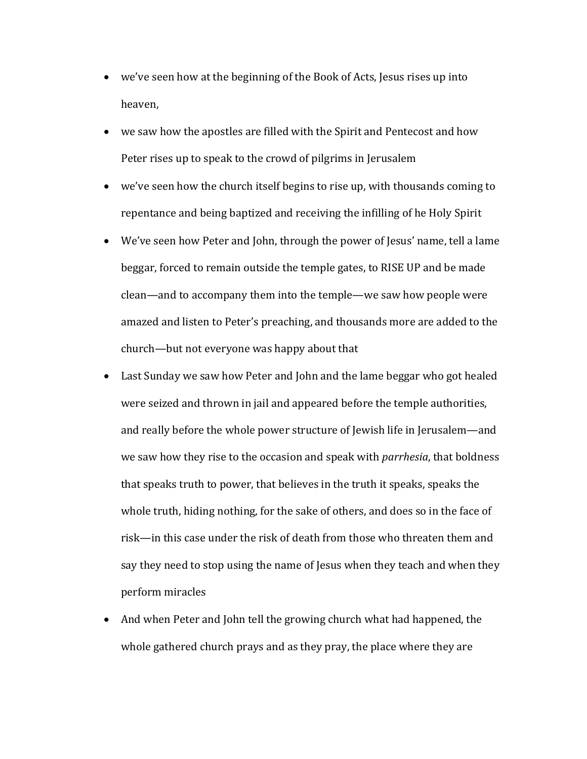- we've seen how at the beginning of the Book of Acts, Jesus rises up into heaven,
- we saw how the apostles are filled with the Spirit and Pentecost and how Peter rises up to speak to the crowd of pilgrims in Jerusalem
- we've seen how the church itself begins to rise up, with thousands coming to repentance and being baptized and receiving the infilling of he Holy Spirit
- We've seen how Peter and John, through the power of Jesus' name, tell a lame beggar, forced to remain outside the temple gates, to RISE UP and be made clean—and to accompany them into the temple—we saw how people were amazed and listen to Peter's preaching, and thousands more are added to the church—but not everyone was happy about that
- Last Sunday we saw how Peter and John and the lame beggar who got healed were seized and thrown in jail and appeared before the temple authorities, and really before the whole power structure of Jewish life in Jerusalem—and we saw how they rise to the occasion and speak with *parrhesia*, that boldness that speaks truth to power, that believes in the truth it speaks, speaks the whole truth, hiding nothing, for the sake of others, and does so in the face of risk—in this case under the risk of death from those who threaten them and say they need to stop using the name of Jesus when they teach and when they perform miracles
- And when Peter and John tell the growing church what had happened, the whole gathered church prays and as they pray, the place where they are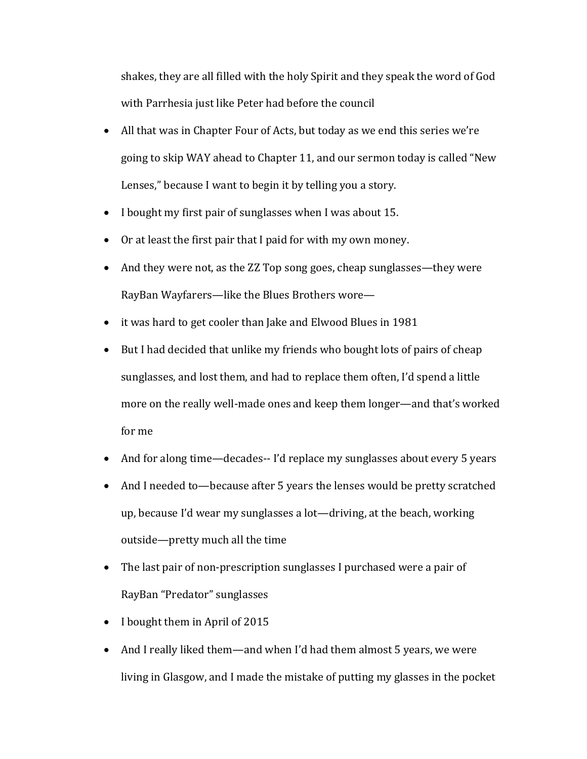shakes, they are all filled with the holy Spirit and they speak the word of God with Parrhesia just like Peter had before the council

- All that was in Chapter Four of Acts, but today as we end this series we're going to skip WAY ahead to Chapter 11, and our sermon today is called "New Lenses," because I want to begin it by telling you a story.
- I bought my first pair of sunglasses when I was about 15.
- Or at least the first pair that I paid for with my own money.
- And they were not, as the ZZ Top song goes, cheap sunglasses—they were RayBan Wayfarers—like the Blues Brothers wore—
- it was hard to get cooler than Jake and Elwood Blues in 1981
- But I had decided that unlike my friends who bought lots of pairs of cheap sunglasses, and lost them, and had to replace them often, I'd spend a little more on the really well-made ones and keep them longer—and that's worked for me
- And for along time—decades-- I'd replace my sunglasses about every 5 years
- And I needed to—because after 5 years the lenses would be pretty scratched up, because I'd wear my sunglasses a lot—driving, at the beach, working outside—pretty much all the time
- The last pair of non-prescription sunglasses I purchased were a pair of RayBan "Predator" sunglasses
- I bought them in April of 2015
- And I really liked them—and when I'd had them almost 5 years, we were living in Glasgow, and I made the mistake of putting my glasses in the pocket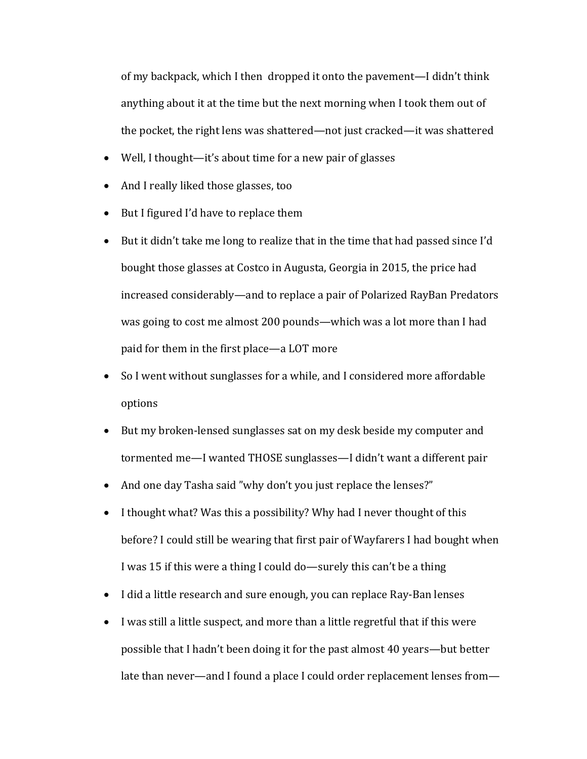of my backpack, which I then dropped it onto the pavement—I didn't think anything about it at the time but the next morning when I took them out of the pocket, the right lens was shattered—not just cracked—it was shattered

- Well, I thought—it's about time for a new pair of glasses
- And I really liked those glasses, too
- But I figured I'd have to replace them
- But it didn't take me long to realize that in the time that had passed since I'd bought those glasses at Costco in Augusta, Georgia in 2015, the price had increased considerably—and to replace a pair of Polarized RayBan Predators was going to cost me almost 200 pounds—which was a lot more than I had paid for them in the first place—a LOT more
- So I went without sunglasses for a while, and I considered more affordable options
- But my broken-lensed sunglasses sat on my desk beside my computer and tormented me—I wanted THOSE sunglasses—I didn't want a different pair
- And one day Tasha said "why don't you just replace the lenses?"
- I thought what? Was this a possibility? Why had I never thought of this before? I could still be wearing that first pair of Wayfarers I had bought when I was 15 if this were a thing I could do—surely this can't be a thing
- I did a little research and sure enough, you can replace Ray-Ban lenses
- I was still a little suspect, and more than a little regretful that if this were possible that I hadn't been doing it for the past almost 40 years—but better late than never—and I found a place I could order replacement lenses from—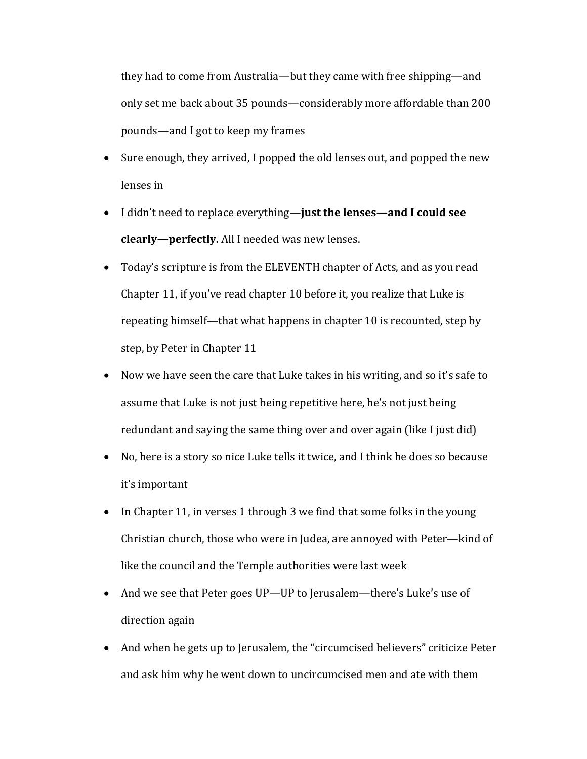they had to come from Australia—but they came with free shipping—and only set me back about 35 pounds—considerably more affordable than 200 pounds—and I got to keep my frames

- Sure enough, they arrived, I popped the old lenses out, and popped the new lenses in
- I didn't need to replace everything—**just the lenses—and I could see clearly-perfectly.** All I needed was new lenses.
- Today's scripture is from the ELEVENTH chapter of Acts, and as you read Chapter 11, if you've read chapter 10 before it, you realize that Luke is repeating himself—that what happens in chapter 10 is recounted, step by step, by Peter in Chapter 11
- Now we have seen the care that Luke takes in his writing, and so it's safe to assume that Luke is not just being repetitive here, he's not just being redundant and saying the same thing over and over again (like I just did)
- No, here is a story so nice Luke tells it twice, and I think he does so because it's important
- In Chapter 11, in verses 1 through 3 we find that some folks in the young Christian church, those who were in Judea, are annoyed with Peter—kind of like the council and the Temple authorities were last week
- And we see that Peter goes UP—UP to Jerusalem—there's Luke's use of direction again
- And when he gets up to Jerusalem, the "circumcised believers" criticize Peter and ask him why he went down to uncircumcised men and ate with them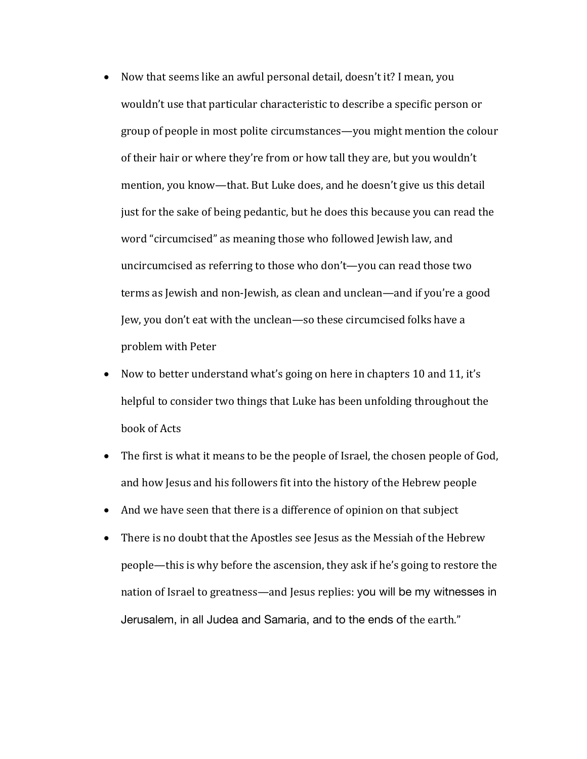- Now that seems like an awful personal detail, doesn't it? I mean, you wouldn't use that particular characteristic to describe a specific person or group of people in most polite circumstances—you might mention the colour of their hair or where they're from or how tall they are, but you wouldn't mention, you know—that. But Luke does, and he doesn't give us this detail just for the sake of being pedantic, but he does this because you can read the word "circumcised" as meaning those who followed Jewish law, and uncircumcised as referring to those who don't—you can read those two terms as Jewish and non-Jewish, as clean and unclean—and if you're a good Jew, you don't eat with the unclean—so these circumcised folks have a problem with Peter
- Now to better understand what's going on here in chapters 10 and 11, it's helpful to consider two things that Luke has been unfolding throughout the book of Acts
- The first is what it means to be the people of Israel, the chosen people of God, and how Jesus and his followers fit into the history of the Hebrew people
- And we have seen that there is a difference of opinion on that subject
- There is no doubt that the Apostles see Jesus as the Messiah of the Hebrew people—this is why before the ascension, they ask if he's going to restore the nation of Israel to greatness—and Jesus replies: you will be my witnesses in Jerusalem, in all Judea and Samaria, and to the ends of the earth."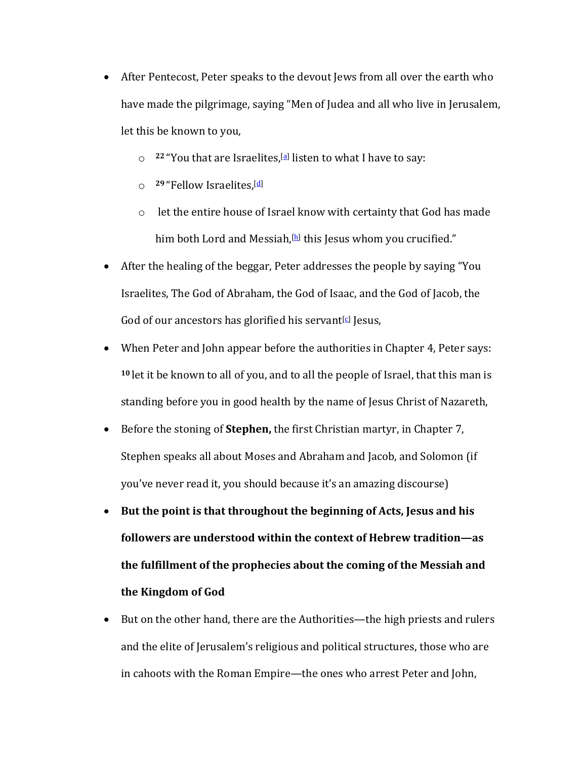- After Pentecost, Peter speaks to the devout Jews from all over the earth who have made the pilgrimage, saying "Men of Judea and all who live in Jerusalem, let this be known to you,
	- $\degree$  <sup>22</sup> "You that are Israelites,<sup>[a]</sup> listen to what I have to say:
	- o **<sup>29</sup>** "Fellow Israelites,[d]
	- $\circ$  let the entire house of Israel know with certainty that God has made him both Lord and Messiah, $[h]$  this Jesus whom you crucified."
- After the healing of the beggar, Peter addresses the people by saying "You Israelites, The God of Abraham, the God of Isaac, and the God of Jacob, the God of our ancestors has glorified his servant $\lbrack \mathcal{Q} \rbrack$  Jesus,
- When Peter and John appear before the authorities in Chapter 4, Peter says: <sup>10</sup> let it be known to all of you, and to all the people of Israel, that this man is standing before you in good health by the name of Jesus Christ of Nazareth,
- Before the stoning of **Stephen**, the first Christian martyr, in Chapter 7, Stephen speaks all about Moses and Abraham and Jacob, and Solomon (if you've never read it, you should because it's an amazing discourse)
- But the point is that throughout the beginning of Acts, Jesus and his **followers are understood within the context of Hebrew tradition—as** the fulfillment of the prophecies about the coming of the Messiah and **the Kingdom of God**
- But on the other hand, there are the Authorities—the high priests and rulers and the elite of Jerusalem's religious and political structures, those who are in cahoots with the Roman Empire—the ones who arrest Peter and John,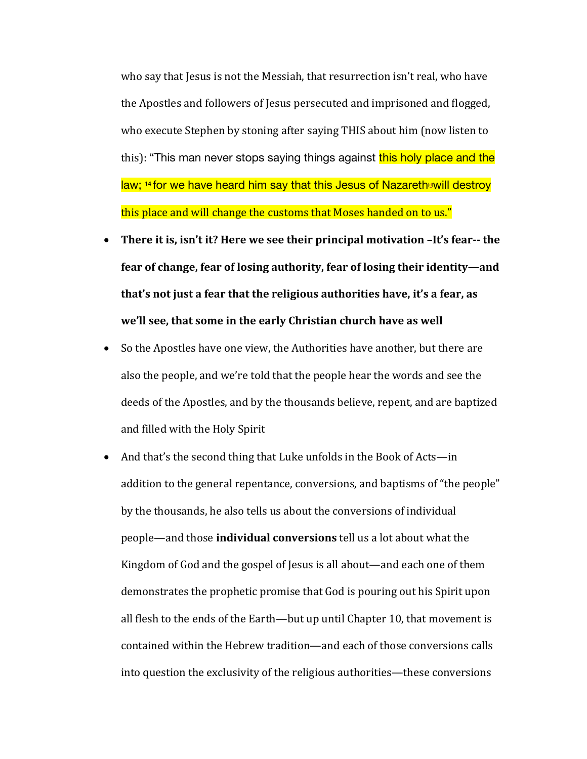who say that Jesus is not the Messiah, that resurrection isn't real, who have the Apostles and followers of Jesus persecuted and imprisoned and flogged, who execute Stephen by stoning after saying THIS about him (now listen to this): "This man never stops saying things against this holy place and the law; <sup>14</sup> for we have heard him say that this Jesus of Nazareth will destroy this place and will change the customs that Moses handed on to us."

- There it is, isn't it? Here we see their principal motivation -It's fear-- the fear of change, fear of losing authority, fear of losing their identity—and that's not just a fear that the religious authorities have, it's a fear, as we'll see, that some in the early Christian church have as well
- So the Apostles have one view, the Authorities have another, but there are also the people, and we're told that the people hear the words and see the deeds of the Apostles, and by the thousands believe, repent, and are baptized and filled with the Holy Spirit
- And that's the second thing that Luke unfolds in the Book of Acts—in addition to the general repentance, conversions, and baptisms of "the people" by the thousands, he also tells us about the conversions of individual people—and those **individual conversions** tell us a lot about what the Kingdom of God and the gospel of Jesus is all about—and each one of them demonstrates the prophetic promise that God is pouring out his Spirit upon all flesh to the ends of the Earth—but up until Chapter 10, that movement is contained within the Hebrew tradition—and each of those conversions calls into question the exclusivity of the religious authorities—these conversions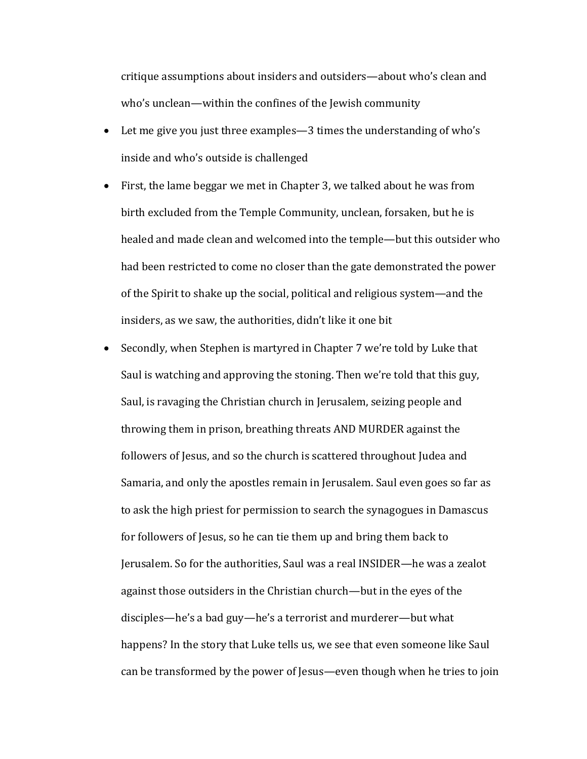critique assumptions about insiders and outsiders—about who's clean and who's unclean—within the confines of the Jewish community

- Let me give you just three examples—3 times the understanding of who's inside and who's outside is challenged
- First, the lame beggar we met in Chapter 3, we talked about he was from birth excluded from the Temple Community, unclean, forsaken, but he is healed and made clean and welcomed into the temple—but this outsider who had been restricted to come no closer than the gate demonstrated the power of the Spirit to shake up the social, political and religious system—and the insiders, as we saw, the authorities, didn't like it one bit
- Secondly, when Stephen is martyred in Chapter 7 we're told by Luke that Saul is watching and approving the stoning. Then we're told that this guy, Saul, is ravaging the Christian church in Jerusalem, seizing people and throwing them in prison, breathing threats AND MURDER against the followers of Jesus, and so the church is scattered throughout Judea and Samaria, and only the apostles remain in Jerusalem. Saul even goes so far as to ask the high priest for permission to search the synagogues in Damascus for followers of Jesus, so he can tie them up and bring them back to Jerusalem. So for the authorities, Saul was a real INSIDER—he was a zealot against those outsiders in the Christian church—but in the eyes of the disciples—he's a bad guy—he's a terrorist and murderer—but what happens? In the story that Luke tells us, we see that even someone like Saul can be transformed by the power of Jesus—even though when he tries to join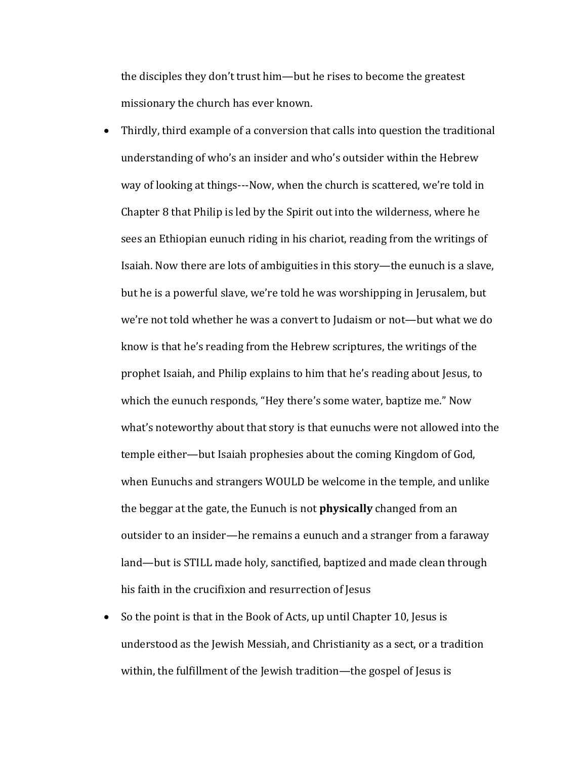the disciples they don't trust him—but he rises to become the greatest missionary the church has ever known.

- Thirdly, third example of a conversion that calls into question the traditional understanding of who's an insider and who's outsider within the Hebrew way of looking at things---Now, when the church is scattered, we're told in Chapter 8 that Philip is led by the Spirit out into the wilderness, where he sees an Ethiopian eunuch riding in his chariot, reading from the writings of Isaiah. Now there are lots of ambiguities in this story—the eunuch is a slave, but he is a powerful slave, we're told he was worshipping in Jerusalem, but we're not told whether he was a convert to Judaism or not—but what we do know is that he's reading from the Hebrew scriptures, the writings of the prophet Isaiah, and Philip explains to him that he's reading about Jesus, to which the eunuch responds, "Hey there's some water, baptize me." Now what's noteworthy about that story is that eunuchs were not allowed into the temple either—but Isaiah prophesies about the coming Kingdom of God, when Eunuchs and strangers WOULD be welcome in the temple, and unlike the beggar at the gate, the Eunuch is not **physically** changed from an outsider to an insider—he remains a eunuch and a stranger from a faraway land—but is STILL made holy, sanctified, baptized and made clean through his faith in the crucifixion and resurrection of Jesus
- So the point is that in the Book of Acts, up until Chapter 10, Jesus is understood as the Jewish Messiah, and Christianity as a sect, or a tradition within, the fulfillment of the Jewish tradition—the gospel of Jesus is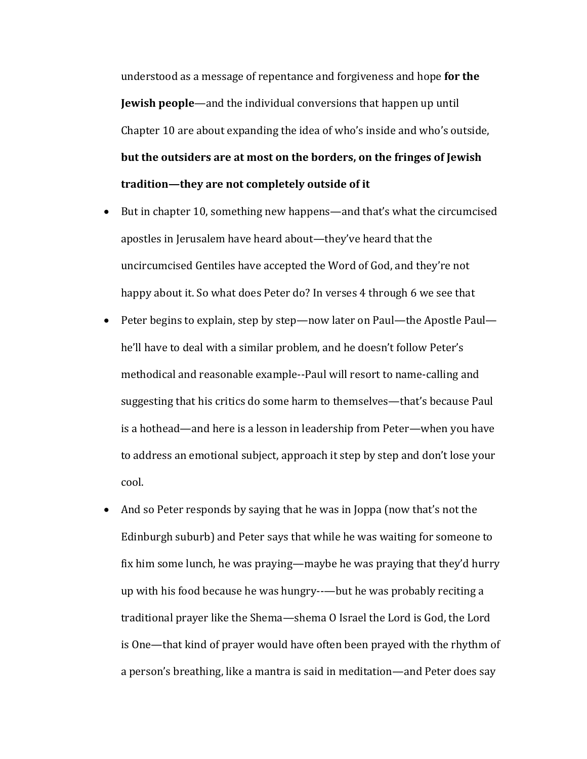understood as a message of repentance and forgiveness and hope **for the Jewish people**—and the individual conversions that happen up until Chapter 10 are about expanding the idea of who's inside and who's outside, but the outsiders are at most on the borders, on the fringes of Jewish tradition—they are not completely outside of it

- But in chapter 10, something new happens—and that's what the circumcised apostles in Jerusalem have heard about—they've heard that the uncircumcised Gentiles have accepted the Word of God, and they're not happy about it. So what does Peter do? In verses 4 through 6 we see that
- Peter begins to explain, step by step—now later on Paul—the Apostle Paul he'll have to deal with a similar problem, and he doesn't follow Peter's methodical and reasonable example--Paul will resort to name-calling and suggesting that his critics do some harm to themselves—that's because Paul is a hothead—and here is a lesson in leadership from Peter—when you have to address an emotional subject, approach it step by step and don't lose your cool.
- And so Peter responds by saying that he was in Joppa (now that's not the Edinburgh suburb) and Peter says that while he was waiting for someone to fix him some lunch, he was praying—maybe he was praying that they'd hurry up with his food because he was hungry--—but he was probably reciting a traditional prayer like the Shema—shema O Israel the Lord is God, the Lord is One—that kind of prayer would have often been prayed with the rhythm of a person's breathing, like a mantra is said in meditation—and Peter does say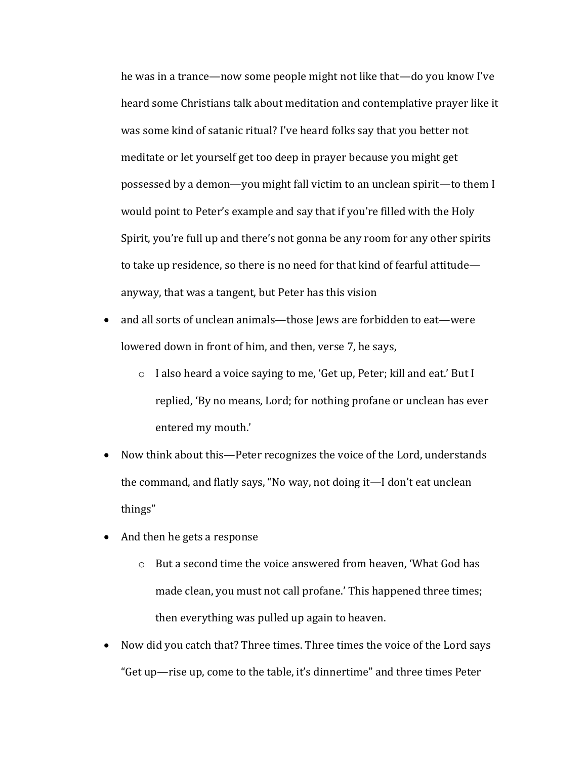he was in a trance—now some people might not like that—do you know I've heard some Christians talk about meditation and contemplative prayer like it was some kind of satanic ritual? I've heard folks say that you better not meditate or let yourself get too deep in prayer because you might get possessed by a demon—you might fall victim to an unclean spirit—to them I would point to Peter's example and say that if you're filled with the Holy Spirit, you're full up and there's not gonna be any room for any other spirits to take up residence, so there is no need for that kind of fearful attitude anyway, that was a tangent, but Peter has this vision

- and all sorts of unclean animals—those Jews are forbidden to eat—were lowered down in front of him, and then, verse 7, he says,
	- o I also heard a voice saying to me, 'Get up, Peter; kill and eat.' But I replied, 'By no means, Lord; for nothing profane or unclean has ever entered my mouth.'
- Now think about this—Peter recognizes the voice of the Lord, understands the command, and flatly says, "No way, not doing it—I don't eat unclean things"
- And then he gets a response
	- $\circ$  But a second time the voice answered from heaven. 'What God has made clean, you must not call profane.' This happened three times; then everything was pulled up again to heaven.
- Now did you catch that? Three times. Three times the voice of the Lord says "Get up—rise up, come to the table, it's dinnertime" and three times Peter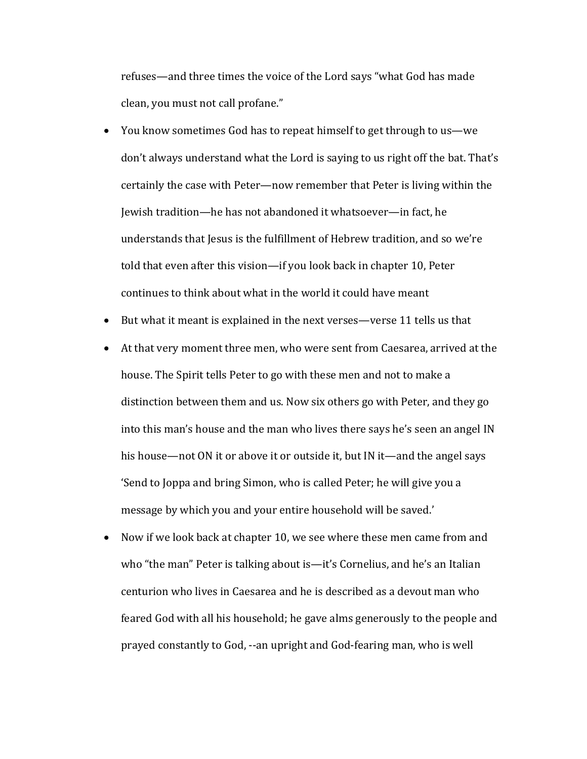refuses—and three times the voice of the Lord says "what God has made clean, you must not call profane."

- You know sometimes God has to repeat himself to get through to us—we don't always understand what the Lord is saying to us right off the bat. That's certainly the case with Peter—now remember that Peter is living within the Jewish tradition—he has not abandoned it whatsoever—in fact, he understands that Jesus is the fulfillment of Hebrew tradition, and so we're told that even after this vision—if you look back in chapter 10, Peter continues to think about what in the world it could have meant
- But what it meant is explained in the next verses—verse 11 tells us that
- At that very moment three men, who were sent from Caesarea, arrived at the house. The Spirit tells Peter to go with these men and not to make a distinction between them and us. Now six others go with Peter, and they go into this man's house and the man who lives there says he's seen an angel IN his house—not ON it or above it or outside it, but IN it—and the angel says 'Send to Joppa and bring Simon, who is called Peter; he will give you a message by which you and your entire household will be saved.'
- Now if we look back at chapter 10, we see where these men came from and who "the man" Peter is talking about is—it's Cornelius, and he's an Italian centurion who lives in Caesarea and he is described as a devout man who feared God with all his household; he gave alms generously to the people and prayed constantly to God, --an upright and God-fearing man, who is well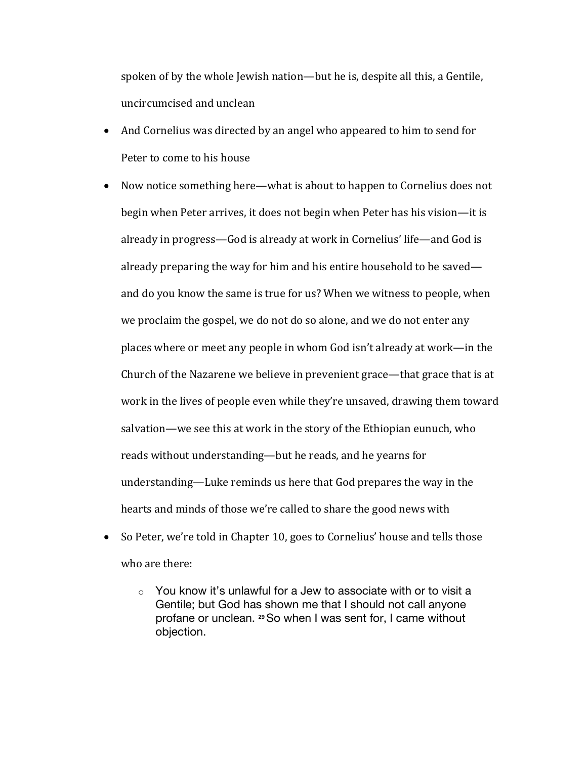spoken of by the whole Jewish nation—but he is, despite all this, a Gentile, uncircumcised and unclean

- And Cornelius was directed by an angel who appeared to him to send for Peter to come to his house
- Now notice something here—what is about to happen to Cornelius does not begin when Peter arrives, it does not begin when Peter has his vision—it is already in progress—God is already at work in Cornelius' life—and God is already preparing the way for him and his entire household to be saved and do you know the same is true for us? When we witness to people, when we proclaim the gospel, we do not do so alone, and we do not enter any places where or meet any people in whom God isn't already at work—in the Church of the Nazarene we believe in prevenient grace—that grace that is at work in the lives of people even while they're unsaved, drawing them toward salvation—we see this at work in the story of the Ethiopian eunuch, who reads without understanding—but he reads, and he yearns for understanding—Luke reminds us here that God prepares the way in the hearts and minds of those we're called to share the good news with
- So Peter, we're told in Chapter 10, goes to Cornelius' house and tells those who are there:
	- $\circ$  You know it's unlawful for a Jew to associate with or to visit a Gentile; but God has shown me that I should not call anyone profane or unclean. **<sup>29</sup>**So when I was sent for, I came without objection.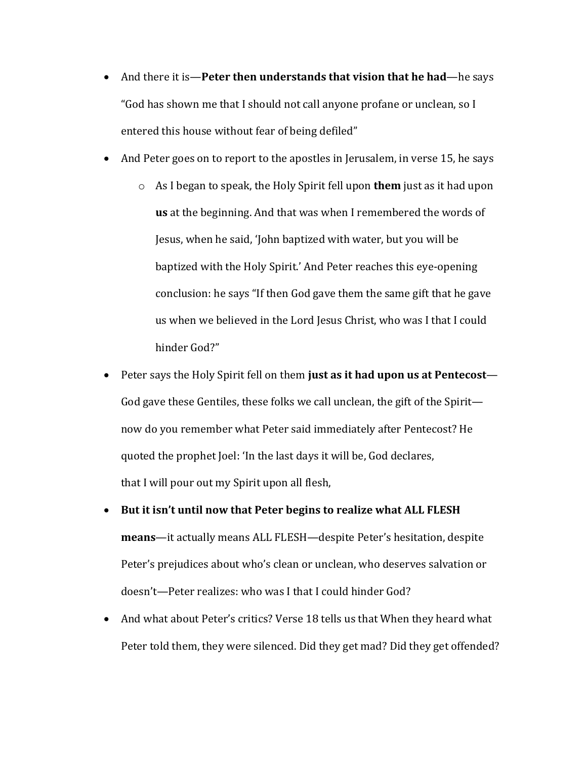- And there it is—**Peter then understands that vision that he had—he** says "God has shown me that I should not call anyone profane or unclean, so I entered this house without fear of being defiled"
- And Peter goes on to report to the apostles in Jerusalem, in verse 15, he says
	- o As I began to speak, the Holy Spirit fell upon **them** just as it had upon **us** at the beginning. And that was when I remembered the words of Jesus, when he said, 'John baptized with water, but you will be baptized with the Holy Spirit.' And Peter reaches this eye-opening conclusion: he says "If then God gave them the same gift that he gave us when we believed in the Lord Jesus Christ, who was I that I could hinder God?"
- Peter says the Holy Spirit fell on them just as it had upon us at Pentecost— God gave these Gentiles, these folks we call unclean, the gift of the Spirit now do you remember what Peter said immediately after Pentecost? He quoted the prophet Joel: 'In the last days it will be, God declares, that I will pour out my Spirit upon all flesh,
- But it isn't until now that Peter begins to realize what ALL FLESH means-it actually means ALL FLESH-despite Peter's hesitation, despite Peter's prejudices about who's clean or unclean, who deserves salvation or doesn't—Peter realizes: who was I that I could hinder God?
- And what about Peter's critics? Verse 18 tells us that When they heard what Peter told them, they were silenced. Did they get mad? Did they get offended?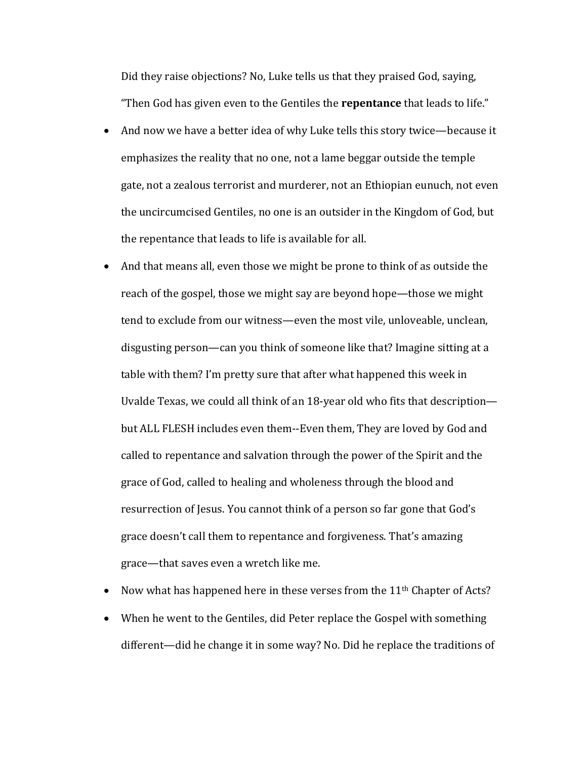Did they raise objections? No, Luke tells us that they praised God, saying, "Then God has given even to the Gentiles the **repentance** that leads to life."

- And now we have a better idea of why Luke tells this story twice—because it emphasizes the reality that no one, not a lame beggar outside the temple gate, not a zealous terrorist and murderer, not an Ethiopian eunuch, not even the uncircumcised Gentiles, no one is an outsider in the Kingdom of God, but the repentance that leads to life is available for all.
- And that means all, even those we might be prone to think of as outside the reach of the gospel, those we might say are beyond hope—those we might tend to exclude from our witness—even the most vile, unloveable, unclean, disgusting person—can you think of someone like that? Imagine sitting at a table with them? I'm pretty sure that after what happened this week in Uvalde Texas, we could all think of an 18-year old who fits that description but ALL FLESH includes even them--Even them, They are loved by God and called to repentance and salvation through the power of the Spirit and the grace of God, called to healing and wholeness through the blood and resurrection of Jesus. You cannot think of a person so far gone that God's grace doesn't call them to repentance and forgiveness. That's amazing grace—that saves even a wretch like me.
- Now what has happened here in these verses from the  $11<sup>th</sup>$  Chapter of Acts?
- When he went to the Gentiles, did Peter replace the Gospel with something different—did he change it in some way? No. Did he replace the traditions of